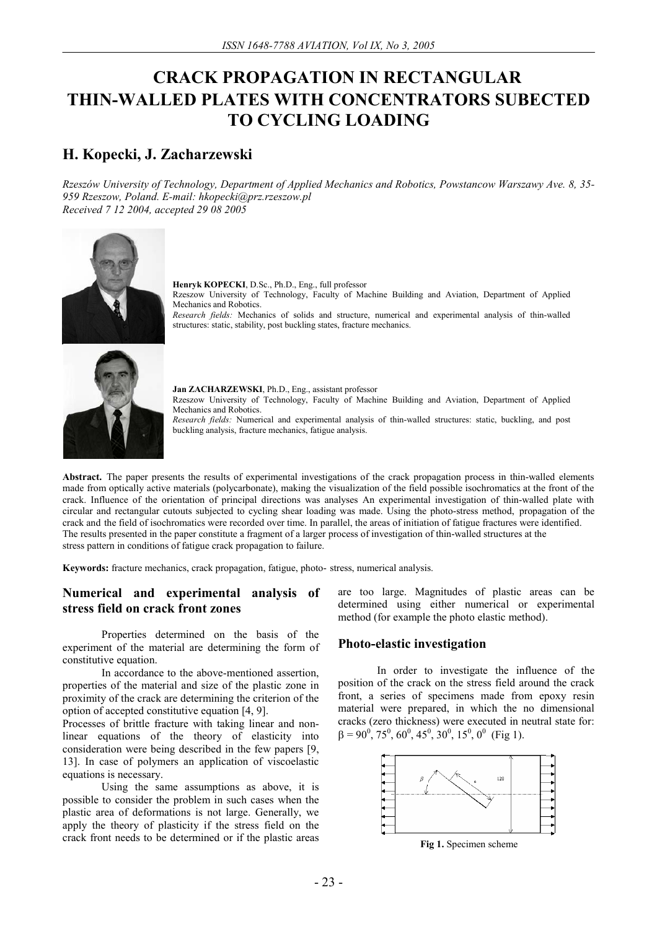# **CRACK PROPAGATION IN RECTANGULAR THIN-WALLED PLATES WITH CONCENTRATORS SUBECTED TO CYCLING LOADING**

# **H. Kopecki, J. Zacharzewski**

*Rzeszów University of Technology, Department of Applied Mechanics and Robotics, Powstancow Warszawy Ave. 8, 35- 959 Rzeszow, Poland. E-mail: hkopecki@prz.rzeszow.pl Received 7 12 2004, accepted 29 08 2005* 



**Henryk KOPECKI**, D.Sc., Ph.D., Eng., full professor Rzeszow University of Technology, Faculty of Machine Building and Aviation, Department of Applied Mechanics and Robotics. *Research fields:* Mechanics of solids and structure, numerical and experimental analysis of thin-walled structures: static, stability, post buckling states, fracture mechanics.



**Jan ZACHARZEWSKI**, Ph.D., Eng., assistant professor Rzeszow University of Technology, Faculty of Machine Building and Aviation, Department of Applied Mechanics and Robotics. *Research fields:* Numerical and experimental analysis of thin-walled structures: static, buckling, and post buckling analysis, fracture mechanics, fatigue analysis.

**Abstract.** The paper presents the results of experimental investigations of the crack propagation process in thin-walled elements made from optically active materials (polycarbonate), making the visualization of the field possible isochromatics at the front of the crack. Influence of the orientation of principal directions was analyses An experimental investigation of thin-walled plate with circular and rectangular cutouts subjected to cycling shear loading was made. Using the photo-stress method, propagation of the crack and the field of isochromatics were recorded over time. In parallel, the areas of initiation of fatigue fractures were identified. The results presented in the paper constitute a fragment of a larger process of investigation of thin-walled structures at the stress pattern in conditions of fatigue crack propagation to failure.

**Keywords:** fracture mechanics, crack propagation, fatigue, photo- stress, numerical analysis.

## **Numerical and experimental analysis of stress field on crack front zones**

Properties determined on the basis of the experiment of the material are determining the form of constitutive equation.

In accordance to the above-mentioned assertion, properties of the material and size of the plastic zone in proximity of the crack are determining the criterion of the option of accepted constitutive equation [4, 9].

Processes of brittle fracture with taking linear and nonlinear equations of the theory of elasticity into consideration were being described in the few papers [9, 13]. In case of polymers an application of viscoelastic equations is necessary.

Using the same assumptions as above, it is possible to consider the problem in such cases when the plastic area of deformations is not large. Generally, we apply the theory of plasticity if the stress field on the crack front needs to be determined or if the plastic areas

are too large. Magnitudes of plastic areas can be determined using either numerical or experimental method (for example the photo elastic method).

#### **Photo-elastic investigation**

In order to investigate the influence of the position of the crack on the stress field around the crack front, a series of specimens made from epoxy resin material were prepared, in which the no dimensional cracks (zero thickness) were executed in neutral state for:  $\beta = 90^0$ , 75<sup>0</sup>, 60<sup>0</sup>, 45<sup>0</sup>, 30<sup>0</sup>, 15<sup>0</sup>, 0<sup>0</sup> (Fig 1).



**Fig 1.** Specimen scheme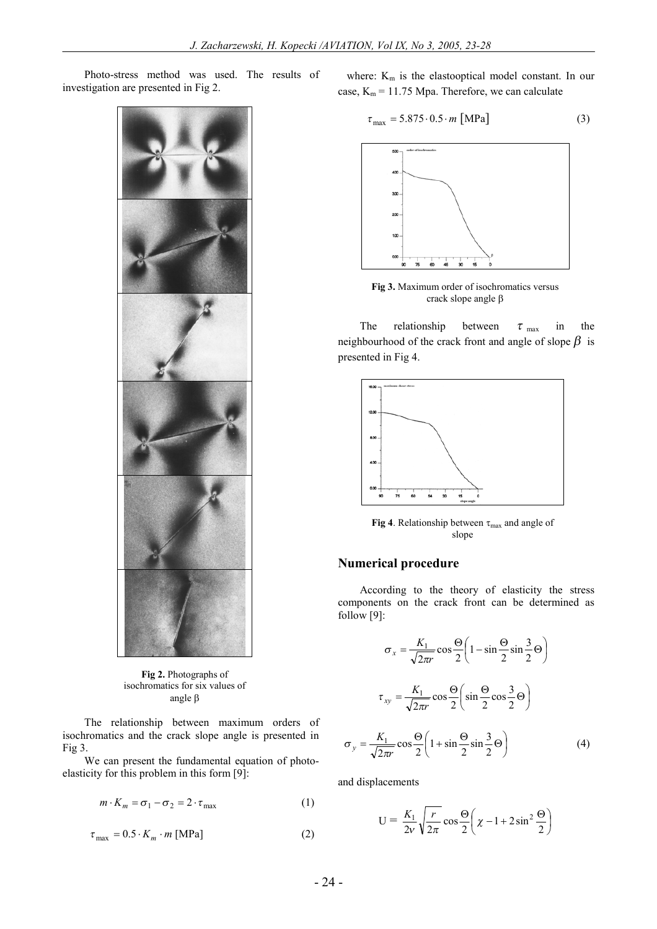Photo-stress method was used. The results of investigation are presented in Fig 2.



**Fig 2.** Photographs of isochromatics for six values of angle  $\beta$ 

The relationship between maximum orders of isochromatics and the crack slope angle is presented in Fig 3.

We can present the fundamental equation of photoelasticity for this problem in this form [9]:

$$
m \cdot K_m = \sigma_1 - \sigma_2 = 2 \cdot \tau_{\text{max}} \tag{1}
$$

$$
\tau_{\text{max}} = 0.5 \cdot K_m \cdot m \text{ [MPa]} \tag{2}
$$

where:  $K_m$  is the elastooptical model constant. In our case,  $K_m = 11.75$  Mpa. Therefore, we can calculate

$$
\tau_{\text{max}} = 5.875 \cdot 0.5 \cdot m \text{ [MPa]} \tag{3}
$$



**Fig 3.** Maximum order of isochromatics versus crack slope angle  $\beta$ 

The relationship between  $\tau_{\text{max}}$  in the neighbourhood of the crack front and angle of slope  $\beta$  is presented in Fig 4.



**Fig 4**. Relationship between  $\tau_{\text{max}}$  and angle of slope

#### **Numerical procedure**

According to the theory of elasticity the stress components on the crack front can be determined as follow [9]:

$$
\sigma_x = \frac{K_1}{\sqrt{2\pi r}} \cos\frac{\Theta}{2} \left( 1 - \sin\frac{\Theta}{2} \sin\frac{3}{2} \Theta \right)
$$

$$
\tau_{xy} = \frac{K_1}{\sqrt{2\pi r}} \cos\frac{\Theta}{2} \left( \sin\frac{\Theta}{2} \cos\frac{3}{2} \Theta \right)
$$

$$
\sigma_y = \frac{K_1}{\sqrt{2\pi r}} \cos\frac{\Theta}{2} \left( 1 + \sin\frac{\Theta}{2} \sin\frac{3}{2} \Theta \right) \tag{4}
$$

and displacements

 $\sigma_v$ 

$$
U = \frac{K_1}{2\nu} \sqrt{\frac{r}{2\pi}} \cos \frac{\Theta}{2} \left( \chi - 1 + 2\sin^2 \frac{\Theta}{2} \right)
$$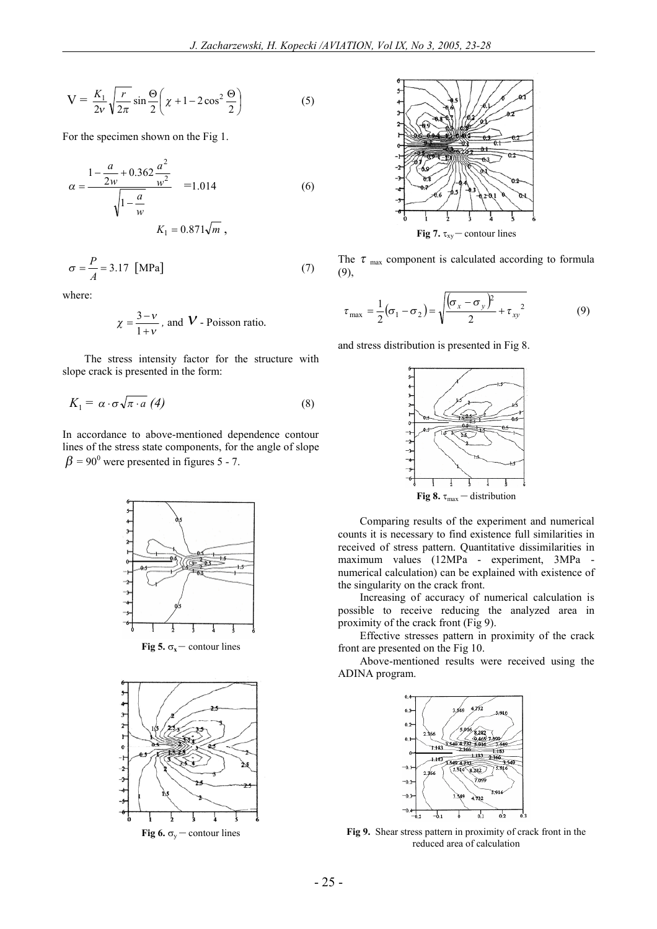$$
V = \frac{K_1}{2\nu} \sqrt{\frac{r}{2\pi}} \sin \frac{\Theta}{2} \left( \chi + 1 - 2\cos^2 \frac{\Theta}{2} \right)
$$
 (5)

For the specimen shown on the Fig 1.

$$
\alpha = \frac{1 - \frac{a}{2w} + 0.362 \frac{a^2}{w^2}}{\sqrt{1 - \frac{a}{w}}} = 1.014
$$
 (6)  

$$
K_1 = 0.871 \sqrt{m},
$$

$$
\sigma = \frac{P}{A} = 3.17 \text{ [MPa]}
$$
 (7)

where:

$$
\chi = \frac{3 - v}{1 + v}
$$
, and **V** - Poisson ratio.

The stress intensity factor for the structure with slope crack is presented in the form:

$$
K_1 = \alpha \cdot \sigma \sqrt{\pi \cdot a} \tag{8}
$$

In accordance to above-mentioned dependence contour lines of the stress state components, for the angle of slope  $\beta$  = 90<sup>0</sup> were presented in figures 5 - 7.



**Fig 5.**  $\sigma_x$  – contour lines



**Fig 6.**  $\sigma_v$  – contour lines



The  $\tau$ <sub>max</sub> component is calculated according to formula (9),

$$
\tau_{\text{max}} = \frac{1}{2} (\sigma_1 - \sigma_2) = \sqrt{\frac{(\sigma_x - \sigma_y)^2}{2} + \tau_{xy}^2}
$$
(9)

and stress distribution is presented in Fig 8.



Comparing results of the experiment and numerical counts it is necessary to find existence full similarities in received of stress pattern. Quantitative dissimilarities in maximum values (12MPa - experiment, 3MPa numerical calculation) can be explained with existence of the singularity on the crack front.

Increasing of accuracy of numerical calculation is possible to receive reducing the analyzed area in proximity of the crack front (Fig 9).

Effective stresses pattern in proximity of the crack front are presented on the Fig 10.

Above-mentioned results were received using the ADINA program.



**Fig 9.** Shear stress pattern in proximity of crack front in the reduced area of calculation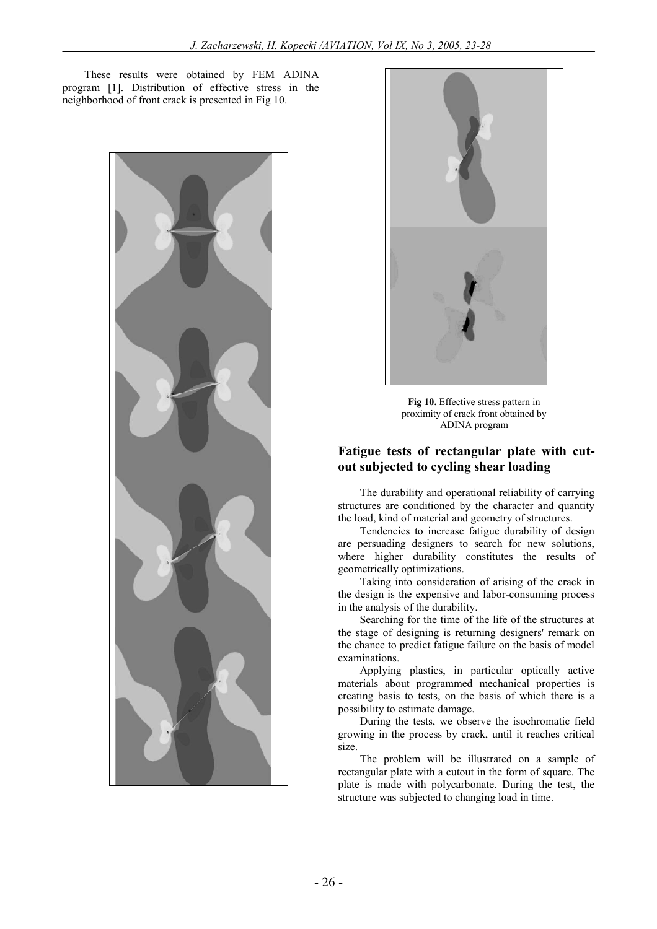These results were obtained by FEM ADINA program [1]. Distribution of effective stress in the neighborhood of front crack is presented in Fig 10.





**Fig 10.** Effective stress pattern in proximity of crack front obtained by ADINA program

## **Fatigue tests of rectangular plate with cutout subjected to cycling shear loading**

The durability and operational reliability of carrying structures are conditioned by the character and quantity the load, kind of material and geometry of structures.

Tendencies to increase fatigue durability of design are persuading designers to search for new solutions, where higher durability constitutes the results of geometrically optimizations.

Taking into consideration of arising of the crack in the design is the expensive and labor-consuming process in the analysis of the durability.

Searching for the time of the life of the structures at the stage of designing is returning designers' remark on the chance to predict fatigue failure on the basis of model examinations.

Applying plastics, in particular optically active materials about programmed mechanical properties is creating basis to tests, on the basis of which there is a possibility to estimate damage.

During the tests, we observe the isochromatic field growing in the process by crack, until it reaches critical size.

The problem will be illustrated on a sample of rectangular plate with a cutout in the form of square. The plate is made with polycarbonate. During the test, the structure was subjected to changing load in time.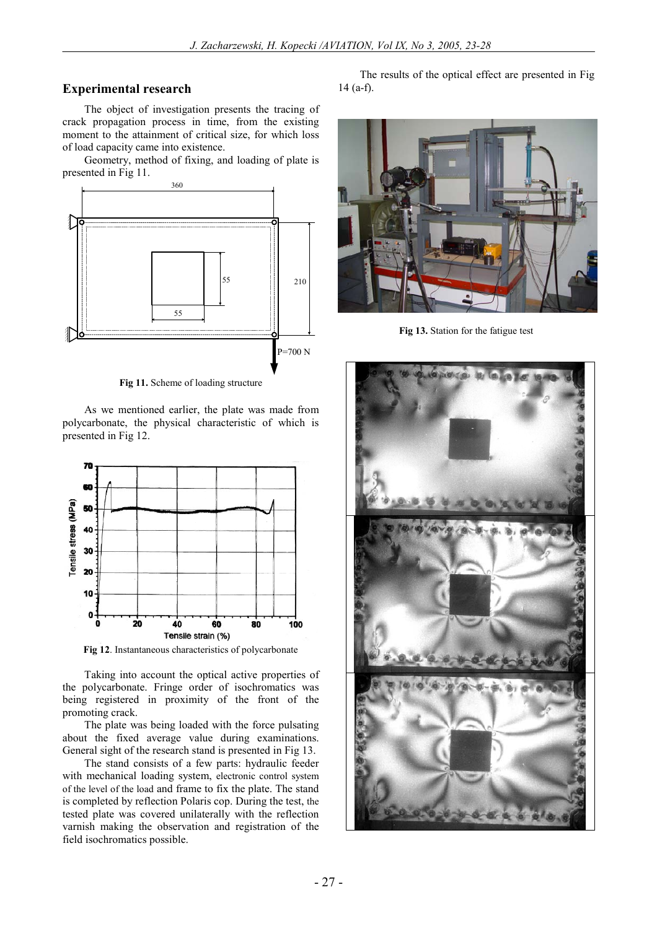#### **Experimental research**

The object of investigation presents the tracing of crack propagation process in time, from the existing moment to the attainment of critical size, for which loss of load capacity came into existence.

Geometry, method of fixing, and loading of plate is presented in Fig 11.



**Fig 11.** Scheme of loading structure

As we mentioned earlier, the plate was made from polycarbonate, the physical characteristic of which is presented in Fig 12.



**Fig 12**. Instantaneous characteristics of polycarbonate

Taking into account the optical active properties of the polycarbonate. Fringe order of isochromatics was being registered in proximity of the front of the promoting crack.

The plate was being loaded with the force pulsating about the fixed average value during examinations. General sight of the research stand is presented in Fig 13.

The stand consists of a few parts: hydraulic feeder with mechanical loading system, electronic control system of the level of the load and frame to fix the plate. The stand is completed by reflection Polaris cop. During the test, the tested plate was covered unilaterally with the reflection varnish making the observation and registration of the field isochromatics possible.

The results of the optical effect are presented in Fig 14 (a-f).



**Fig 13.** Station for the fatigue test